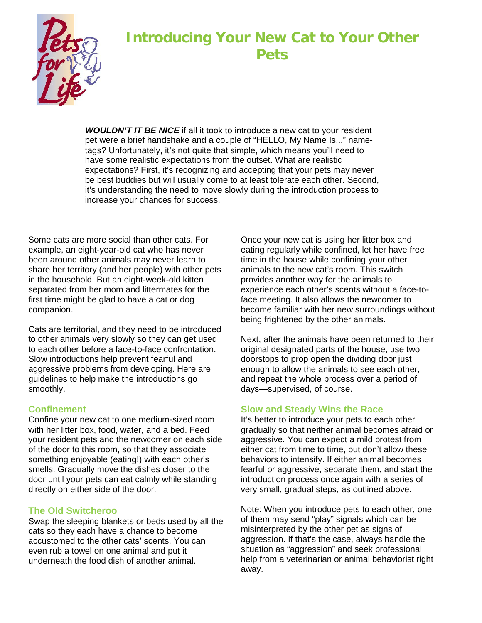

# **Introducing Your New Cat to Your Other Pets**

*WOULDN'T IT BE NICE* if all it took to introduce a new cat to your resident pet were a brief handshake and a couple of "HELLO, My Name Is..." nametags? Unfortunately, it's not quite that simple, which means you'll need to have some realistic expectations from the outset. What are realistic expectations? First, it's recognizing and accepting that your pets may never be best buddies but will usually come to at least tolerate each other. Second, it's understanding the need to move slowly during the introduction process to increase your chances for success.

Some cats are more social than other cats. For example, an eight-year-old cat who has never been around other animals may never learn to share her territory (and her people) with other pets in the household. But an eight-week-old kitten separated from her mom and littermates for the first time might be glad to have a cat or dog companion.

Cats are territorial, and they need to be introduced to other animals very slowly so they can get used to each other before a face-to-face confrontation. Slow introductions help prevent fearful and aggressive problems from developing. Here are guidelines to help make the introductions go smoothly.

## **Confinement**

Confine your new cat to one medium-sized room with her litter box, food, water, and a bed. Feed your resident pets and the newcomer on each side of the door to this room, so that they associate something enjoyable (eating!) with each other's smells. Gradually move the dishes closer to the door until your pets can eat calmly while standing directly on either side of the door.

## **The Old Switcheroo**

Swap the sleeping blankets or beds used by all the cats so they each have a chance to become accustomed to the other cats' scents. You can even rub a towel on one animal and put it underneath the food dish of another animal.

Once your new cat is using her litter box and eating regularly while confined, let her have free time in the house while confining your other animals to the new cat's room. This switch provides another way for the animals to experience each other's scents without a face-toface meeting. It also allows the newcomer to become familiar with her new surroundings without being frightened by the other animals.

Next, after the animals have been returned to their original designated parts of the house, use two doorstops to prop open the dividing door just enough to allow the animals to see each other, and repeat the whole process over a period of days—supervised, of course.

# **Slow and Steady Wins the Race**

It's better to introduce your pets to each other gradually so that neither animal becomes afraid or aggressive. You can expect a mild protest from either cat from time to time, but don't allow these behaviors to intensify. If either animal becomes fearful or aggressive, separate them, and start the introduction process once again with a series of very small, gradual steps, as outlined above.

Note: When you introduce pets to each other, one of them may send "play" signals which can be misinterpreted by the other pet as signs of aggression. If that's the case, always handle the situation as "aggression" and seek professional help from a veterinarian or animal behaviorist right away.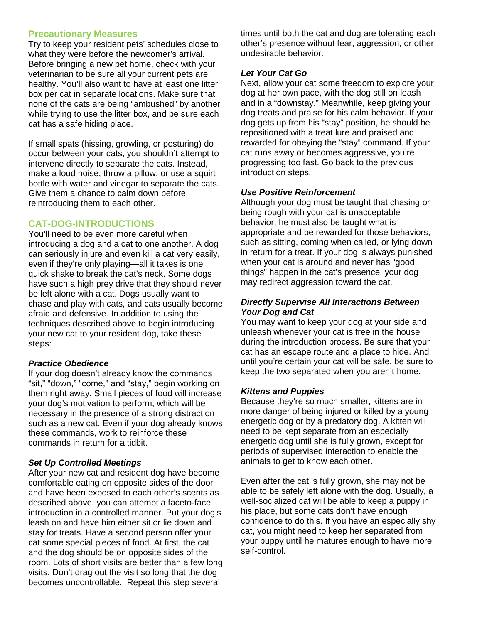## **Precautionary Measures**

Try to keep your resident pets' schedules close to what they were before the newcomer's arrival. Before bringing a new pet home, check with your veterinarian to be sure all your current pets are healthy. You'll also want to have at least one litter box per cat in separate locations. Make sure that none of the cats are being "ambushed" by another while trying to use the litter box, and be sure each cat has a safe hiding place.

If small spats (hissing, growling, or posturing) do occur between your cats, you shouldn't attempt to intervene directly to separate the cats. Instead, make a loud noise, throw a pillow, or use a squirt bottle with water and vinegar to separate the cats. Give them a chance to calm down before reintroducing them to each other.

## **CAT-DOG-INTRODUCTIONS**

You'll need to be even more careful when introducing a dog and a cat to one another. A dog can seriously injure and even kill a cat very easily, even if they're only playing—all it takes is one quick shake to break the cat's neck. Some dogs have such a high prey drive that they should never be left alone with a cat. Dogs usually want to chase and play with cats, and cats usually become afraid and defensive. In addition to using the techniques described above to begin introducing your new cat to your resident dog, take these steps:

## *Practice Obedience*

If your dog doesn't already know the commands "sit," "down," "come," and "stay," begin working on them right away. Small pieces of food will increase your dog's motivation to perform, which will be necessary in the presence of a strong distraction such as a new cat. Even if your dog already knows these commands, work to reinforce these commands in return for a tidbit.

## *Set Up Controlled Meetings*

After your new cat and resident dog have become comfortable eating on opposite sides of the door and have been exposed to each other's scents as described above, you can attempt a faceto-face introduction in a controlled manner. Put your dog's leash on and have him either sit or lie down and stay for treats. Have a second person offer your cat some special pieces of food. At first, the cat and the dog should be on opposite sides of the room. Lots of short visits are better than a few long visits. Don't drag out the visit so long that the dog becomes uncontrollable. Repeat this step several

times until both the cat and dog are tolerating each other's presence without fear, aggression, or other undesirable behavior.

## *Let Your Cat Go*

Next, allow your cat some freedom to explore your dog at her own pace, with the dog still on leash and in a "downstay." Meanwhile, keep giving your dog treats and praise for his calm behavior. If your dog gets up from his "stay" position, he should be repositioned with a treat lure and praised and rewarded for obeying the "stay" command. If your cat runs away or becomes aggressive, you're progressing too fast. Go back to the previous introduction steps.

## *Use Positive Reinforcement*

Although your dog must be taught that chasing or being rough with your cat is unacceptable behavior, he must also be taught what is appropriate and be rewarded for those behaviors, such as sitting, coming when called, or lying down in return for a treat. If your dog is always punished when your cat is around and never has "good things" happen in the cat's presence, your dog may redirect aggression toward the cat.

#### *Directly Supervise All Interactions Between Your Dog and Cat*

You may want to keep your dog at your side and unleash whenever your cat is free in the house during the introduction process. Be sure that your cat has an escape route and a place to hide. And until you're certain your cat will be safe, be sure to keep the two separated when you aren't home.

## *Kittens and Puppies*

Because they're so much smaller, kittens are in more danger of being injured or killed by a young energetic dog or by a predatory dog. A kitten will need to be kept separate from an especially energetic dog until she is fully grown, except for periods of supervised interaction to enable the animals to get to know each other.

Even after the cat is fully grown, she may not be able to be safely left alone with the dog. Usually, a well-socialized cat will be able to keep a puppy in his place, but some cats don't have enough confidence to do this. If you have an especially shy cat, you might need to keep her separated from your puppy until he matures enough to have more self-control.